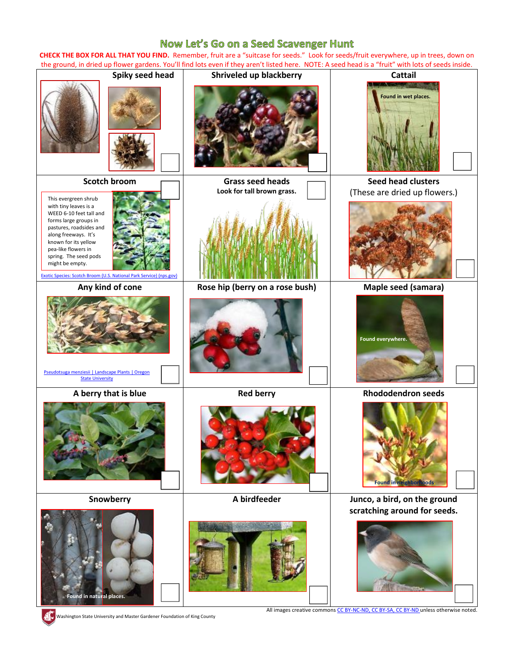## Now Let's Go on a Seed Scavenger Hunt

**CHECK THE BOX FOR ALL THAT YOU FIND.** Remember, fruit are a "suitcase for seeds." Look for seeds/fruit everywhere, up in trees, down on the ground, in dried up flower gardens. You'll find lots even if they aren't listed here. NOTE: A seed head is a "fruit" with lots of seeds inside.



Washington State University and Master Gardener Foundation of King County

All images creative commons [CC BY-NC-ND,](https://creativecommons.org/licenses/by-nc-nd/3.0/) [CC BY-SA,](https://creativecommons.org/licenses/by-sa/3.0/) [CC BY-ND](https://creativecommons.org/licenses/by-nd/3.0/) unless otherwise noted.